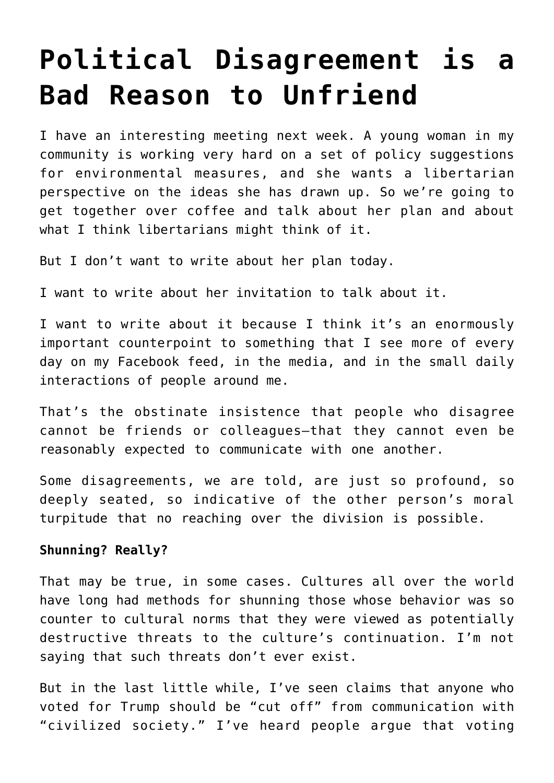## **[Political Disagreement is a](https://intellectualtakeout.org/2017/05/political-disagreement-is-a-bad-reason-to-unfriend/) [Bad Reason to Unfriend](https://intellectualtakeout.org/2017/05/political-disagreement-is-a-bad-reason-to-unfriend/)**

I have an interesting meeting next week. A young woman in my community is working very hard on a set of policy suggestions for environmental measures, and she wants a libertarian perspective on the ideas she has drawn up. So we're going to get together over coffee and talk about her plan and about what I think libertarians might think of it.

But I don't want to write about her plan today.

I want to write about her invitation to talk about it.

I want to write about it because I think it's an enormously important counterpoint to something that I see more of every day on my Facebook feed, in the media, and in the small daily interactions of people around me.

That's the obstinate insistence that people who disagree cannot be friends or colleagues—that they cannot even be reasonably expected to communicate with one another.

Some disagreements, we are told, are just so profound, so deeply seated, so indicative of the other person's moral turpitude that no reaching over the division is possible.

## **Shunning? Really?**

That may be true, in some cases. Cultures all over the world have long had methods for shunning those whose behavior was so counter to cultural norms that they were viewed as potentially destructive threats to the culture's continuation. I'm not saying that such threats don't ever exist.

But in the last little while, I've seen claims that anyone who voted for Trump should be "cut off" from communication with "civilized society." I've heard people argue that voting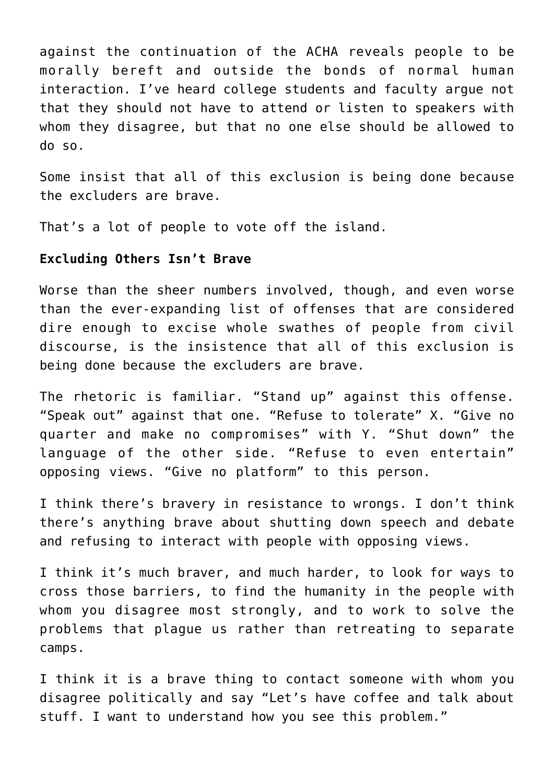against the continuation of the ACHA reveals people to be morally bereft and outside the bonds of normal human interaction. I've heard college students and faculty argue not that they should not have to attend or listen to speakers with whom they disagree, but that no one else should be allowed to do so.

Some insist that all of this exclusion is being done because the excluders are brave.

That's a lot of people to vote off the island.

## **Excluding Others Isn't Brave**

Worse than the sheer numbers involved, though, and even worse than the ever-expanding list of offenses that are considered dire enough to excise whole swathes of people from civil discourse, is the insistence that all of this exclusion is being done because the excluders are brave.

The rhetoric is familiar. "Stand up" against this offense. "Speak out" against that one. "Refuse to tolerate" X. "Give no quarter and make no compromises" with Y. "Shut down" the language of the other side. "Refuse to even entertain" opposing views. "Give no platform" to this person.

I think there's bravery in resistance to wrongs. I don't think there's anything brave about shutting down speech and debate and refusing to interact with people with opposing views.

I think it's much braver, and much harder, to look for ways to cross those barriers, to find the humanity in the people with whom you disagree most strongly, and to work to solve the problems that plague us rather than retreating to separate camps.

I think it is a brave thing to contact someone with whom you disagree politically and say "Let's have coffee and talk about stuff. I want to understand how you see this problem."